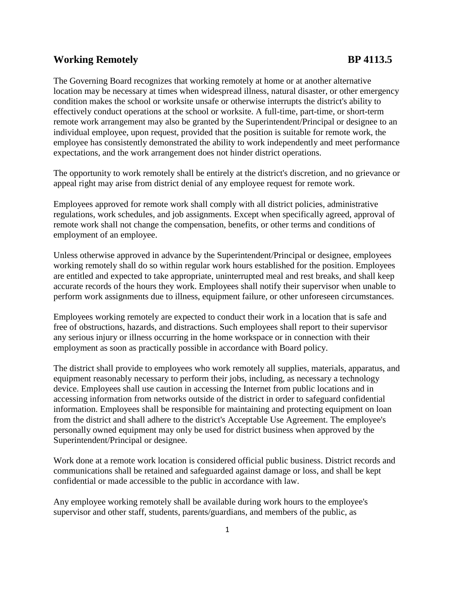## **Working Remotely BP 4113.5**

The Governing Board recognizes that working remotely at home or at another alternative location may be necessary at times when widespread illness, natural disaster, or other emergency condition makes the school or worksite unsafe or otherwise interrupts the district's ability to effectively conduct operations at the school or worksite. A full-time, part-time, or short-term remote work arrangement may also be granted by the Superintendent/Principal or designee to an individual employee, upon request, provided that the position is suitable for remote work, the employee has consistently demonstrated the ability to work independently and meet performance expectations, and the work arrangement does not hinder district operations.

The opportunity to work remotely shall be entirely at the district's discretion, and no grievance or appeal right may arise from district denial of any employee request for remote work.

Employees approved for remote work shall comply with all district policies, administrative regulations, work schedules, and job assignments. Except when specifically agreed, approval of remote work shall not change the compensation, benefits, or other terms and conditions of employment of an employee.

Unless otherwise approved in advance by the Superintendent/Principal or designee, employees working remotely shall do so within regular work hours established for the position. Employees are entitled and expected to take appropriate, uninterrupted meal and rest breaks, and shall keep accurate records of the hours they work. Employees shall notify their supervisor when unable to perform work assignments due to illness, equipment failure, or other unforeseen circumstances.

Employees working remotely are expected to conduct their work in a location that is safe and free of obstructions, hazards, and distractions. Such employees shall report to their supervisor any serious injury or illness occurring in the home workspace or in connection with their employment as soon as practically possible in accordance with Board policy.

The district shall provide to employees who work remotely all supplies, materials, apparatus, and equipment reasonably necessary to perform their jobs, including, as necessary a technology device. Employees shall use caution in accessing the Internet from public locations and in accessing information from networks outside of the district in order to safeguard confidential information. Employees shall be responsible for maintaining and protecting equipment on loan from the district and shall adhere to the district's Acceptable Use Agreement. The employee's personally owned equipment may only be used for district business when approved by the Superintendent/Principal or designee.

Work done at a remote work location is considered official public business. District records and communications shall be retained and safeguarded against damage or loss, and shall be kept confidential or made accessible to the public in accordance with law.

Any employee working remotely shall be available during work hours to the employee's supervisor and other staff, students, parents/guardians, and members of the public, as